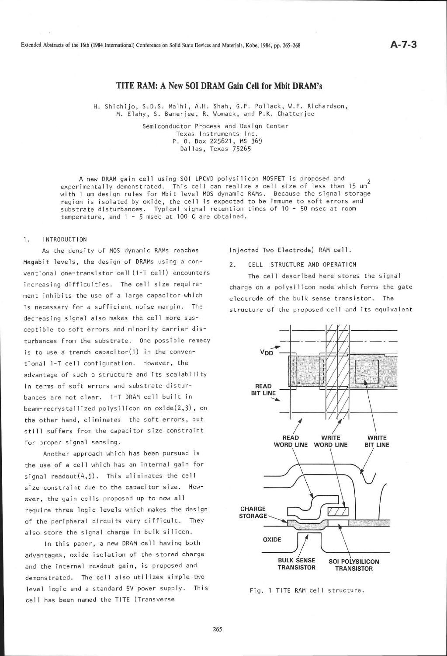Extended Abstracts of the l6th (1984 International) Conference on Solid State Devices and Materials, Kobe, 1984, pp. 265-268

# TITE RAM: A New SOI DRAM Gain Cell for Mbit DRAM's

H. Shichijo, S.D.S. Malhi, A.H. Shah, G.P. Pollack, W.F. Richardson, M. EIahy, S. Banerjee, R. Womack, and P.K. Chatterjee

> Semiconductor Process and Design Center Texas Instruments Inc. P. 0. Box 225521, MS <sup>369</sup> Dallas, Texas 75265

A new DRAM gain cell using S0l LPCVD polysilicon MOSFET is proposed and experimentally demonstrated. This cell can realize a cell size of less than 15 um<sup>2</sup> with 1 um design rules for Mbit level MOS dynamic RAMs. Because the signal storage region is isolated by oxide, the ceil is expected to be immune to soft errors and substrate disturbances. Typical signal retention times of 10 - 50 msec at room temperature, and  $1 - 5$  msec at 100 C are obtained.

### 1. INTRODUCTION

As the density of MOS dynamic RAMs reaches Megabit levels, the design of DRAMs using a conventional one-transistor cell (1-T cell) encounters increasing difficulties. The cell size requirement inhibits the use of a large capacitor which is necessary for a sufficient noise margin. The decreasing signal also makes the cell more susceptible to soft errors and minority carrier disturbances from the substrate. One possible remedy is to use a trench capacitor $(1)$  in the conventional 1-T cell configuration. However, the advantage of such a structure and its scalability in terms of soft errors and substrate disturbances are not clear. 1-T DRAM cell built in beam-recrystallized polysilicon on oxide(2,3), on the other hand, eliminates the soft errors, but still suffers from the capacitor size constraint for proper signal sensing.

Another approach which has been pursued is the use of a cell which has an internal gain for signal readout $(4,5)$ . This eliminates the cell size constraint due to the capacitor size. However, the gain cells proposed up to now al 1 require three logic levels which makes the design of the peripheral circuits very difficult. They also store the signal charge in bulk silicon.

In this paper, a new DRAM cell having both advantages, oxide isolation of the stored charge and the internal readout gain, is proposed and demonstrated. The cell also utilizes simple two level logic and a standard 5V power supply. This cell has been named the TITE (Transverse

Injected Two Electrode) RAM cell.

2. CELL STRUCTURE AND OPERATION

The cell described here stores the signal charge on a polysilicon node which forms the gate electrode of the bulk sense transistor. The structure of the proposed cell and its equivalent



Fig. 1 TITE RAM cell structure.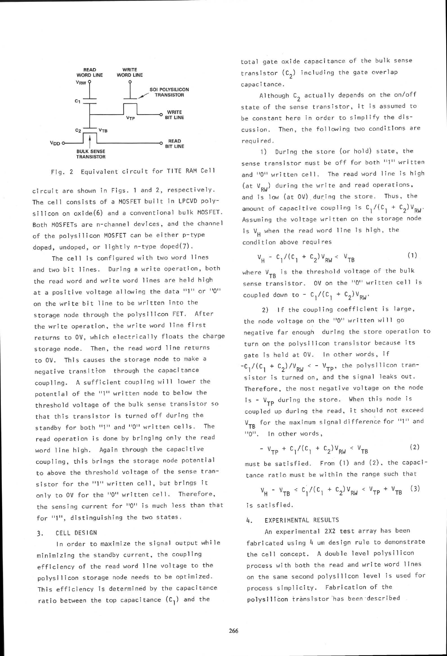



circuit are shown in Figs. 1 and 2, respectively. The cell consists of a MOSFET built in LPCVD polysilicon on oxide(6) and a conventional bulk MOSFET. Both MOSFETs are n-channel devices, and the channel of the polysilicon MOSFET can be either p-type doped, undoped, or lightly n-type doped(7).

The cell is configured with two word lines and two bit lines. During a write operation, both the read word and write word lines are held high at a positive voltage allowing the data "1" or "0" on the write bit line to be written into the storage node through the polysilicon FET. After the write operation, the write word line first returns to 0V, which electrically floats the charge storage node. Then, the read word line returns to 0V. This causes the storage node to make <sup>a</sup> negative transitton through the capacitance coupling. A sufficient coupling will lower the potential of the "1" written node to below the threshold voltage of the bulk sense transistor so that this transistor is turned off during the standby for both "1" and "0" written cells. The read operation is done by bringing only the read word line high. Again through the capacitive coupling, this brings the storage node potential to above the threshold voltage of the sense transistor for the "1" written cell, but brings it only to OV for the "0" written cell. Therefore, the sensing current for "0" is much less than that for "1", distinguishing the two states.

### 3. CELL DESIGN

ln order to maximize the signal output whi le minimizing the standby current, the coupling efficiency of the read word line voltage to the polysilicon storage node needs to be optimized. This efficiency is determined by the capacitance ratio between the top capacitance  $(c_1)$  and the

total gate oxide capacitance of the bulk sense transistor  $(c_2)$  including the gate overlap capacitance.

Although  $C_2$  actually depends on the on/off state of the sense transistor, it is assumed to be constant here in order to simplify the discussion, Then, the following two conditions are required.

1) During the store (or hold) state, the sense transistor must be off for both "1" written and "0" written cell. The read word line is high (at  $V_{\text{d}}$ ) during the write and read operations. and is low (at 0V) during the store. Thus, the amount of capacitive coupling is  $C_1/(C_1 + C_2)V_{RW}$ . Assuming the voltage written on the storage node is  $V_{\mu}$  when the read word line is high, the condi tion above requi res

$$
v_{\mu} - c_1 / (c_1 + c_2) v_{\text{RW}} < v_{\text{TB}} \tag{1}
$$

where  $V_{TB}$  is the threshold voltage of the bulk sense transistor. OV on the "0" written cell is coupled down to -  $C_1 / (C_1 + C_2) V_{RW}$ .

2) lf the coupling coefficient is larqe, the node voltage on the "0" written will go negative far enough during the store operation to turn on the polysilicon transistor because its gate is held at OV. In other words, if  $-c_1/(c_1 + c_2)/v_{\text{RW}} < -v_{\text{TP}},$  the polysilicon transistor is turned on, and the signal leaks out. Therefore, the most negative voltage on the node is - V<sub>TP</sub> during the store. When this node is coupled up during the read, it should not exceed V<sub>TR</sub> for the maximum signal difference for "1" and "0". In other words,

$$
- V_{\rm TD} + C_1 / (C_1 + C_2) V_{\rm RW} < V_{\rm TR} \tag{2}
$$

must be satisfied. From (1) and (2), the capacitance ratio must be within the range such that

$$
v_{H} - v_{TB} \le c_{1}^{2}/(c_{1} + c_{2})v_{RW} \le v_{TP} + v_{TB}
$$
 (3)

is satisfied.

## 4. EXPERl MENTAL RESULTS

An experimental 2X2 test array has been fabricated using 4 um design rule to demonstrate the cell concept. A double level polysilicon process with both the read and write word lines on the same second polysilicon level is used for process simplicity. Fabrication of the polysilicon transistor has been described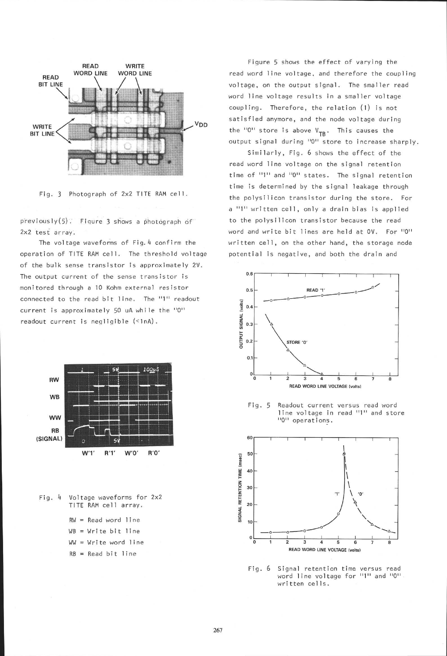



 $p$ reviously(5). Fiqure 3 shows a photograph of ZxZ test array.

The voltage waveforms of Fig. 4 confirm the operation of TITE RAM cell. The threshold voltage of the bulk sense transistor is approximately 2U. The output current of the sense transistor is monitored through a 10 Kohm external resistor connected to the read bit line. The "1" readout current is approximately 5O uA whi le the "0" readout current is negligible (<1nA).



- Fig. 4 voltage waveforms for 2x2 TITE RAM cell array.
	- $RW = Read word line$  $WB = Write bit line$  $WW = Write word line$  $RB = Read bit line$

Figure 5 shows the effect of varying the read word line voltage, and therefore the coupling voltage, on the output signal. The smaller read word line voltage results in a smaller voltage coupling. Therefore, the relation (1) is not satisfied anymore, and the node voltage during the  $10^{11}$  store is above  $V_{TB}$ . This causes the output signal during "0" store to increase sharply.

Similarly, Fig. 6 shows the effect of the read word line voltage on the signal retention time of "1" and "0" states. The signal retention time is determined by the signal leakage through the polysilicon transistor during the store. For a "1" written cell, only a drain bias is applied to the polysilicon transistor because the read word and write bit lines are held at OV. For "O" written cell, on the other hand, the storage node potential is negative, and both the drain and



Fig. <sup>5</sup> Readout current versus read word line voltage in read "1" and store "0" operations.



Fig.6 Signal retention time versus read word line voltage for "1" and "0" written cells.